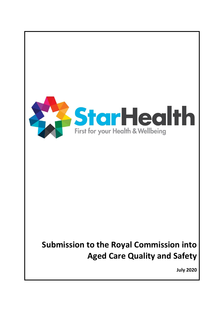

**July 2020**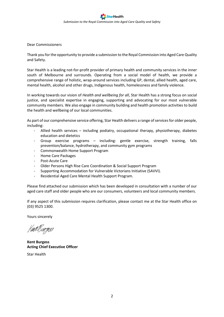Dear Commissioners

Thank you for the opportunity to provide a submission to the Royal Commission into Aged Care Quality and Safety.

Star Health is a leading not-for-profit provider of primary health and community services in the inner south of Melbourne and surrounds. Operating from a social model of health, we provide a comprehensive range of holistic, wrap-around services including GP, dental, allied health, aged care, mental health, alcohol and other drugs, Indigenous health, homelessness and family violence.

In working towards our vision of *Health and wellbeing for all*, Star Health has a strong focus on social justice, and specialist expertise in engaging, supporting and advocating for our most vulnerable community members. We also engage in community building and health promotion activities to build the health and wellbeing of our local communities.

As part of our comprehensive service offering, Star Health delivers a range of services for older people, including:

- Allied health services including podiatry, occupational therapy, physiotherapy, diabetes education and dietetics
- Group exercise programs including: gentle exercise, strength training, falls prevention/balance, hydrotherapy, and community gym programs
- Commonwealth Home Support Program
- Home Care Packages
- Post-Acute Care
- Older Persons High Rise Care Coordination & Social Support Program
- Supporting Accommodation for Vulnerable Victorians Initiative (SAVVI).
- Residential Aged Care Mental Health Support Program.

Please find attached our submission which has been developed in consultation with a number of our aged care staff and older people who are our consumers, volunteers and local community members.

If any aspect of this submission requires clarification, please contact me at the Star Health office on (03) 9525 1300.

Yours sincerely

Kint Burgess

**Kent Burgess Acting Chief Executive Officer** Star Health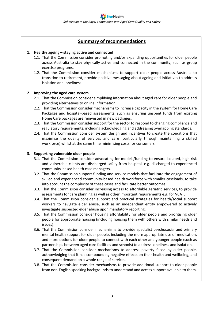# **Summary of recommendations**

#### **1. Healthy ageing – staying active and connected**

- 1.1. That the Commission consider promoting and/or expanding opportunities for older people across Australia to stay physically active and connected in the community, such as group exercise programs.
- 1.2. That the Commission consider mechanisms to support older people across Australia to transition to retirement, provide positive messaging about ageing and initiatives to address isolation and loneliness.

#### **2. Improving the aged care system**

- 2.1. That the Commission consider simplifying information about aged care for older people and providing alternatives to online information.
- 2.2. That the Commission consider mechanisms to increase capacity in the system for Home Care Packages and hospital-based assessments, such as ensuring unspent funds from existing Home Care packages are reinvested in new packages.
- 2.3. That the Commission consider support for the sector to respond to changing compliance and regulatory requirements, including acknowledging and addressing overlapping standards.
- 2.4. That the Commission consider system design and incentives to create the conditions that maximise the quality of services and care (particularly through maintaining a skilled workforce) whilst at the same time minimising costs for consumers.

#### **3. Supporting vulnerable older people**

- 3.1. That the Commission consider advocating for models/funding to ensure isolated, high risk and vulnerable clients are discharged safely from hospital, e.g. discharged to experienced community-based health case managers.
- 3.2. That the Commission support funding and service models that facilitate the engagement of skilled and experienced community-based health workforce with smaller caseloads, to take into account the complexity of these cases and facilitate better outcomes.
- 3.3. That the Commission consider increasing access to affordable geriatric services, to provide assessments for care planning as well as other important requirements e.g. for VCAT.
- 3.4. That the Commission consider support and practical strategies for health/social support workers to navigate elder abuse, such as an independent entity empowered to actively investigate suspected elder abuse upon mandatory reporting.
- 3.5. That the Commission consider housing affordability for older people and prioritising older people for appropriate housing (including housing them with others with similar needs and issues).
- 3.6. That the Commission consider mechanisms to provide specialist psychosocial and primary mental health support for older people, including the more appropriate use of medication, and more options for older people to connect with each other and younger people (such as partnerships between aged care facilities and schools) to address loneliness and isolation.
- 3.7. That the Commission consider mechanisms to address poverty faced by older people, acknowledging that it has compounding negative effects on their health and wellbeing, and consequent demand on a whole range of services.
- 3.8. That the Commission consider mechanisms to provide additional support to older people from non-English speaking backgrounds to understand and access support available to them.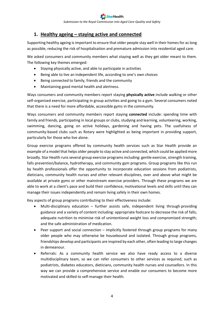# **1. Healthy ageing – staying active and connected**

Supporting healthy ageing is important to ensure that older people stay well in their homes for as long as possible, reducing the risk of hospitalisation and premature admission into residential aged care.

We asked consumers and community members what staying well as they get older meant to them. The following key themes emerged:

- Staying physically active, and able to participate in activities
- Being able to live an independent life, according to one's own choices
- Being connected to family, friends and the community
- Maintaining good mental health and alertness.

Ways consumers and community members report staying **physically active** include walking or other self-organised exercise, participating in group activities and going to a gym. Several consumers noted that there is a need for more affordable, accessible gyms in the community.

Ways consumers and community members report staying **connected** include: spending time with family and friends, participating in local groups or clubs, studying and learning, volunteering, working, swimming, dancing, going on active holidays, gardening and having pets. The usefulness of community-based clubs such as Rotary were highlighted as being important in providing support, particularly for those who live alone.

Group exercise programs offered by community health services such as Star Health provide an example of a model that helps older people to stay active and connected, which could be applied more broadly. Star Health runs several group exercise programs including: gentle exercise, strength training, falls prevention/balance, hydrotherapy, and community gym programs. Group programs like this run by health professionals offer the opportunity to incorporate education sessions from podiatrists, dieticians, community health nurses and other relevant disciplines, over and above what might be available at private gyms or other mainstream exercise providers. Through these programs we are able to work at a client's pace and build their confidence, motivational levels and skills until they can manage their issues independently and remain living safely in their own homes.

Key aspects of group programs contributing to their effectiveness include:

- Multi-disciplinary education further assists safe, independent living through providing guidance and a variety of content including: appropriate footcare to decrease the risk of falls; adequate nutrition to minimise risk of unintentional weight loss and compromised strength; and the safe administration of medication.
- Peer support and social connection implicitly fostered through group programs for many older people who may otherwise be housebound and isolated. Through group programs, friendships develop and participants are inspired by each other, often leading to large changes in demeanour.
- Referrals: As a community health service we also have ready access to a diverse multidisciplinary team, so we can refer consumers to other services as required, such as podiatrists, diabetes educators, dieticians, community health nurses and counsellors. In this way we can provide a comprehensive service and enable our consumers to become more motivated and skilled to self-manage their health.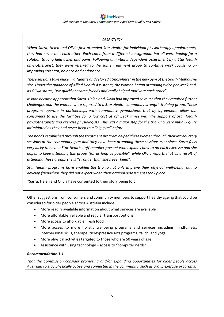# *CASE STUDY*

*When Sarra, Helen and Olivia first attended Star Health for individual physiotherapy appointments, they had never met each other. Each came from a different background, but all were hoping for a solution to long held aches and pains. Following an initial independent assessment by a Star Health physiotherapist, they were referred to the same treatment group to continue work focussing on improving strength, balance and endurance.* 

*These sessions take place in a "gentle and relaxed atmosphere" in the new gym at the South Melbourne site. Under the guidance of Allied Health Assistants, the women began attending twice per week and, as Olivia states, "we quickly became friends and really helped motivate each other".* 

*It soon became apparent that Sarra, Helen and Olivia had improved so much that they required further challenges and the women were referred to a Star Health community strength training group. These programs operate in partnerships with community gymnasiums that by agreement, allow our consumers to use the facilities for a low cost at off peak times with the support of Star Health physiotherapists and exercise physiologists. This was a major step for the trio who were initially quite intimidated as they had never been to a "big gym" before.* 

*The bonds established through the treatment program helped these women through their introductory sessions at the community gym and they have been attending these sessions ever since. Sarra feels very lucky to have a Star Health staff member present who explains how to do each exercise and she hopes to keep attending this group "for as long as possible", while Olivia reports that as a result of attending these groups she is "stronger than she's ever been".*

*Star Health programs have enabled the trio to not only improve their physical well-being, but to develop friendships they did not expect when their original assessments took place.*

\*Sarra, Helen and Olivia have consented to their story being told.

Other suggestions from consumers and community members to support healthy ageing that could be considered for older people across Australia include:

- More readily available information about what services are available
- More affordable, reliable and regular transport options
- More access to affordable, fresh food
- More access to more holistic wellbeing programs and services including mindfulness, interpersonal skills, therapeutic/expressive arts programs; tai chi and yoga
- More physical activities targeted to those who are 50 years of age
- Assistance with using technology access to "computer nerds".

# *Recommendation 1.1*

*That the Commission consider promoting and/or expanding opportunities for older people across Australia to stay physically active and connected in the community, such as group exercise programs.*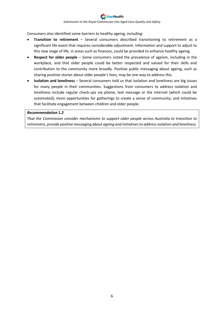Consumers also identified some barriers to healthy ageing, including:

- **Transition to retirement** Several consumers described transitioning to retirement as a significant life event that requires considerable adjustment. Information and support to adjust to this new stage of life, in areas such as finances, could be provided to enhance healthy ageing.
- **Respect for older people** Some consumers noted the prevalence of ageism, including in the workplace, and that older people could be better respected and valued for their skills and contribution to the community more broadly. Positive public messaging about ageing, such as sharing positive stories about older people's lives, may be one way to address this.
- **Isolation and loneliness** Several consumers told us that isolation and loneliness are big issues for many people in their communities. Suggestions from consumers to address isolation and loneliness include regular check-ups via phone, text message or the internet (which could be automated); more opportunities for gatherings to create a sense of community; and initiatives that facilitate engagement between children and older people.

#### *Recommendation 1.2*

*That the Commission consider mechanisms to support older people across Australia to transition to retirement, provide positive messaging about ageing and initiatives to address isolation and loneliness.*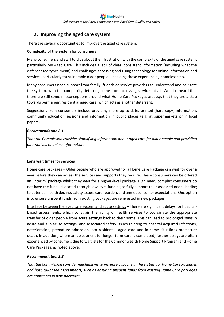# **2. Improving the aged care system**

There are several opportunities to improve the aged care system:

# **Complexity of the system for consumers**

Many consumers and staff told us about their frustration with the complexity of the aged care system, particularly My Aged Care. This includes a lack of clear, consistent information (including what the different fee types mean) and challenges accessing and using technology for online information and services, particularly for vulnerable older people - including those experiencing homelessness.

Many consumers need support from family, friends or service providers to understand and navigate the system, with the complexity deterring some from accessing services at all. We also heard that there are still some misconceptions around what Home Care Packages are, e.g. that they are a step towards permanent residential aged care, which acts as another deterrent.

Suggestions from consumers include providing more up to date, printed (hard copy) information, community education sessions and information in public places (e.g. at supermarkets or in local papers).

# *Recommendation 2.1*

*That the Commission consider simplifying information about aged care for older people and providing alternatives to online information.*

# **Long wait times for services**

Home care packages – Older people who are approved for a Home Care Package can wait for over a year before they can access the services and supports they require. These consumers can be offered an 'interim' package whilst they wait for a higher-level package. High need, complex consumers do not have the funds allocated through low level funding to fully support their assessed need, leading to potential health decline, safety issues, carer burden, and unmet consumer expectations. One option is to ensure unspent funds from existing packages are reinvested in new packages.

Interface between the aged care system and acute settings – There are significant delays for hospitalbased assessments, which constrain the ability of health services to coordinate the appropriate transfer of older people from acute settings back to their home. This can lead to prolonged stays in acute and sub-acute settings, and associated safety issues relating to hospital acquired infections, deterioration, premature admission into residential aged care and in some situations premature death. In addition, where an assessment for longer-term care is completed, further delays are often experienced by consumers due to waitlists for the Commonwealth Home Support Program and Home Care Packages, as noted above.

# *Recommendation 2.2*

*That the Commission consider mechanisms to increase capacity in the system for Home Care Packages and hospital-based assessments, such as ensuring unspent funds from existing Home Care packages are reinvested in new packages.*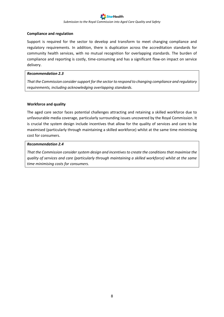#### **Compliance and regulation**

Support is required for the sector to develop and transform to meet changing compliance and regulatory requirements. In addition, there is duplication across the accreditation standards for community health services, with no mutual recognition for overlapping standards. The burden of compliance and reporting is costly, time-consuming and has a significant flow-on impact on service delivery.

#### *Recommendation 2.3*

*That the Commission consider support for the sector to respond to changing compliance and regulatory requirements, including acknowledging overlapping standards.*

#### **Workforce and quality**

The aged care sector faces potential challenges attracting and retaining a skilled workforce due to unfavourable media coverage, particularly surrounding issues uncovered by the Royal Commission. It is crucial the system design include incentives that allow for the quality of services and care to be maximised (particularly through maintaining a skilled workforce) whilst at the same time minimising cost for consumers.

#### *Recommendation 2.4*

*That the Commission consider system design and incentives to create the conditions that maximise the quality of services and care (particularly through maintaining a skilled workforce) whilst at the same time minimising costs for consumers.*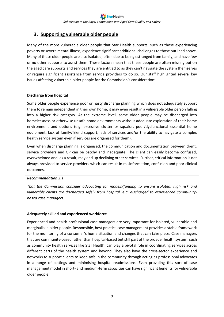# **3. Supporting vulnerable older people**

Many of the more vulnerable older people that Star Health supports, such as those experiencing poverty or severe mental illness, experience significant additional challenges to those outlined above. Many of these older people are also isolated, often due to being estranged from family, and have few or no other supports to assist them. These factors mean that these people are often missing out on the aged care supports and services they are entitled to as they can't navigate the system themselves or require significant assistance from service providers to do so. Our staff highlighted several key issues affecting vulnerable older people for the Commission's consideration:

# **Discharge from hospital**

Some older people experience poor or hasty discharge planning which does not adequately support them to remain independent in their own home; it may even result in a vulnerable older person falling into a higher risk category. At the extreme level, some older people may be discharged into homelessness or otherwise unsafe home environments without adequate exploration of their home environment and options (e.g. excessive clutter or squalor, poor/dysfunctional essential home equipment, lack of family/friend support, lack of services and/or the ability to navigate a complex health service system even if services are organised for them).

Even when discharge planning is organised, the communication and documentation between client, service providers and GP can be patchy and inadequate. The client can easily become confused, overwhelmed and, as a result, may end up declining other services. Further, critical information is not always provided to service providers which can result in misinformation, confusion and poor clinical outcomes.

# *Recommendation 3.1*

*That the Commission consider advocating for models/funding to ensure isolated, high risk and vulnerable clients are discharged safely from hospital, e.g. discharged to experienced communitybased case managers.*

# **Adequately skilled and experienced workforce**

Experienced and health professional case managers are very important for isolated, vulnerable and marginalised older people. Responsible, best practice case management provides a stable framework for the monitoring of a consumer's home situation and changes that can take place. Case managers that are community-based rather than hospital-based but still part of the broader health system, such as community health services like Star Health, can play a pivotal role in coordinating services across different parts of the health system and beyond. They also have the cross-sector experience and networks to support clients to keep safe in the community through acting as professional advocates in a range of settings and minimising hospital readmissions. Even providing this sort of case management model in short- and medium-term capacities can have significant benefits for vulnerable older people.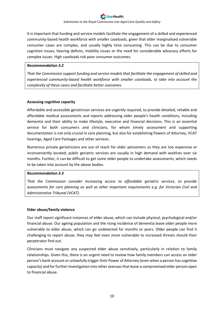It is important that funding and service models facilitate the engagement of a skilled and experienced community-based health workforce with smaller caseloads, given that older marginalised vulnerable consumer cases are complex, and usually highly time consuming. This can be due to consumer cognition issues, hearing deficits, mobility issues or the need for considerable advocacy efforts for complex issues. High caseloads risk poor consumer outcomes.

#### *Recommendation 3.2*

*That the Commission support funding and service models that facilitate the engagement of skilled and experienced community-based health workforce with smaller caseloads, to take into account the complexity of these cases and facilitate better outcomes.*

# **Assessing cognitive capacity**

Affordable and accessible geriatrician services are urgently required, to provide detailed, reliable and affordable medical assessments and reports addressing older people's health conditions, including dementia and their ability to make lifestyle, executive and financial decisions. This is an essential service for both consumers and clinicians, for whom timely assessment and supporting documentation is not only crucial in care planning, but also for establishing Powers of Attorney, VCAT hearings, Aged Care Packages and other services.

Numerous private geriatricians are out of reach for older pensioners as they are too expensive or inconveniently located; public geriatric services are usually in high demand with waitlists over six months. Further, it can be difficult to get some older people to undertake assessments, which needs to be taken into account by the above bodies.

# *Recommendation 3.3*

*That the Commission consider increasing access to affordable geriatric services, to provide assessments for care planning as well as other important requirements e.g. for Victorian Civil and Administrative Tribunal (VCAT).*

# **Elder abuse/family violence**

Our staff report significant instances of elder abuse, which can include physical, psychological and/or financial abuse. Our ageing population and the rising incidence of dementia leave older people more vulnerable to elder abuse, which can go undetected for months or years. Older people can find it challenging to report abuse; they may feel even more vulnerable to increased threats should their perpetrator find out.

Clinicians must navigate any suspected elder abuse sensitively, particularly in relation to family relationships. Given this, there is an urgent need to review how family members can access an older person's bank account or unlawfully trigger their Power of Attorney (even when a person has cognitive capacity) and for further investigation into other avenues that leave a compromised older person open to financial abuse.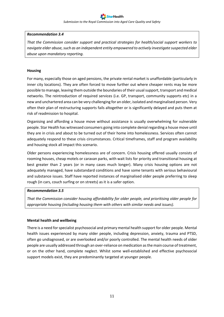#### *Recommendation 3.4*

*That the Commission consider support and practical strategies for health/social support workers to navigate elder abuse, such as an independent entity empowered to actively investigate suspected elder abuse upon mandatory reporting.*

#### **Housing**

For many, especially those on aged pensions, the private rental market is unaffordable (particularly in inner city locations). They are often forced to move further out where cheaper rents may be more possible to manage, leaving them outside the boundaries of their usual support, transport and medical networks. The reintroduction of required services (i.e. GP, transport, community supports etc) in a new and unchartered area can be very challenging for an older, isolated and marginalised person. Very often their plan of restructuring supports fails altogether or is significantly delayed and puts them at risk of readmission to hospital.

Organising and affording a house move without assistance is usually overwhelming for vulnerable people. Star Health has witnessed consumers going into complete denial regarding a house move until they are in crisis and about to be turned out of their home into homelessness. Services often cannot adequately respond to these crisis circumstances. Critical timeframes, staff and program availability and housing stock all impact this scenario.

Older persons experiencing homelessness are of concern. Crisis housing offered usually consists of rooming houses, cheap motels or caravan parks, with wait lists for priority and transitional housing at best greater than 2 years (or in many cases much longer). Many crisis housing options are not adequately managed, have substandard conditions and have some tenants with serious behavioural and substance issues. Staff have reported instances of marginalised older people preferring to sleep rough (in cars, couch surfing or on streets) as it is a safer option.

#### *Recommendation 3.5*

*That the Commission consider housing affordability for older people, and prioritising older people for appropriate housing (including housing them with others with similar needs and issues).*

# **Mental health and wellbeing**

There is a need for specialist psychosocial and primary mental health support for older people. Mental health issues experienced by many older people, including depression, anxiety, trauma and PTSD, often go undiagnosed, or are overlooked and/or poorly controlled. The mental health needs of older people are usually addressed through an over-reliance on medication as the main course of treatment, or on the other hand, complete neglect. Whilst some well-established and effective psychosocial support models exist, they are predominantly targeted at younger people.